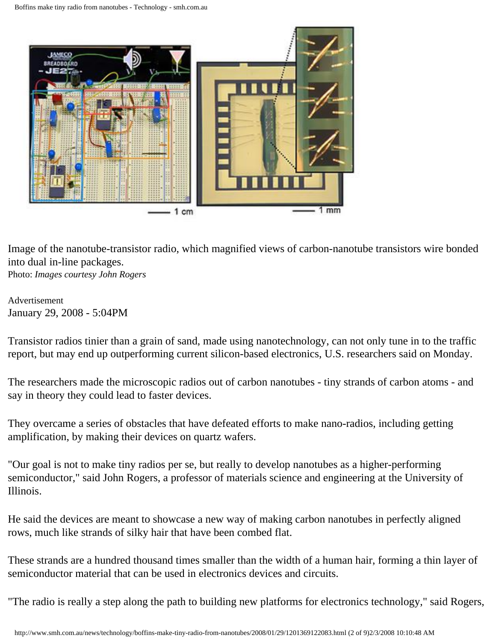<span id="page-0-0"></span>

Image of the nanotube-transistor radio, which magnified views of carbon-nanotube transistors wire bonded into dual in-line packages. Photo: *Images courtesy John Rogers*

Advertisement January 29, 2008 - 5:04PM

Transistor radios tinier than a grain of sand, made using nanotechnology, can not only tune in to the traffic report, but may end up outperforming current silicon-based electronics, U.S. researchers said on Monday.

The researchers made the microscopic radios out of carbon nanotubes - tiny strands of carbon atoms - and say in theory they could lead to faster devices.

They overcame a series of obstacles that have defeated efforts to make nano-radios, including getting amplification, by making their devices on quartz wafers.

"Our goal is not to make tiny radios per se, but really to develop nanotubes as a higher-performing semiconductor," said John Rogers, a professor of materials science and engineering at the University of Illinois.

He said the devices are meant to showcase a new way of making carbon nanotubes in perfectly aligned rows, much like strands of silky hair that have been combed flat.

These strands are a hundred thousand times smaller than the width of a human hair, forming a thin layer of semiconductor material that can be used in electronics devices and circuits.

"The radio is really a step along the path to building new platforms for electronics technology," said Rogers,